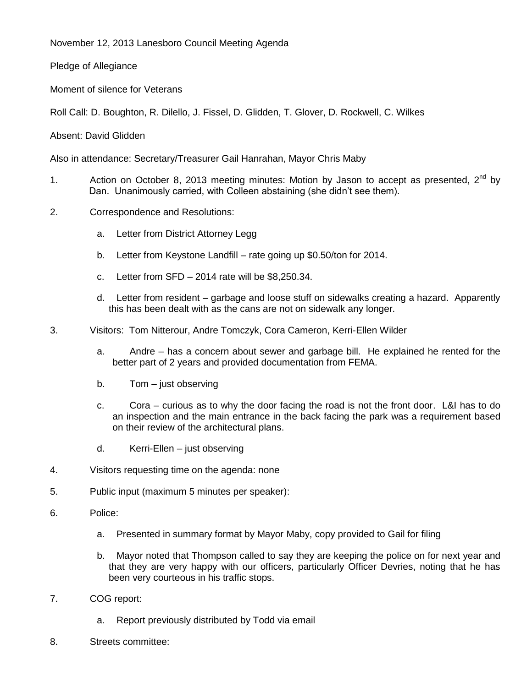November 12, 2013 Lanesboro Council Meeting Agenda

Pledge of Allegiance

Moment of silence for Veterans

Roll Call: D. Boughton, R. Dilello, J. Fissel, D. Glidden, T. Glover, D. Rockwell, C. Wilkes

Absent: David Glidden

Also in attendance: Secretary/Treasurer Gail Hanrahan, Mayor Chris Maby

- 1. Action on October 8, 2013 meeting minutes: Motion by Jason to accept as presented,  $2^{nd}$  by Dan. Unanimously carried, with Colleen abstaining (she didn't see them).
- 2. Correspondence and Resolutions:
	- a. Letter from District Attorney Legg
	- b. Letter from Keystone Landfill rate going up \$0.50/ton for 2014.
	- c. Letter from SFD 2014 rate will be \$8,250.34.
	- d. Letter from resident garbage and loose stuff on sidewalks creating a hazard. Apparently this has been dealt with as the cans are not on sidewalk any longer.
- 3. Visitors: Tom Nitterour, Andre Tomczyk, Cora Cameron, Kerri-Ellen Wilder
	- a. Andre has a concern about sewer and garbage bill. He explained he rented for the better part of 2 years and provided documentation from FEMA.
	- b. Tom just observing
	- c. Cora curious as to why the door facing the road is not the front door. L&I has to do an inspection and the main entrance in the back facing the park was a requirement based on their review of the architectural plans.
	- d. Kerri-Ellen just observing
- 4. Visitors requesting time on the agenda: none
- 5. Public input (maximum 5 minutes per speaker):
- 6. Police:
	- a. Presented in summary format by Mayor Maby, copy provided to Gail for filing
	- b. Mayor noted that Thompson called to say they are keeping the police on for next year and that they are very happy with our officers, particularly Officer Devries, noting that he has been very courteous in his traffic stops.
- 7. COG report:
	- a. Report previously distributed by Todd via email
- 8. Streets committee: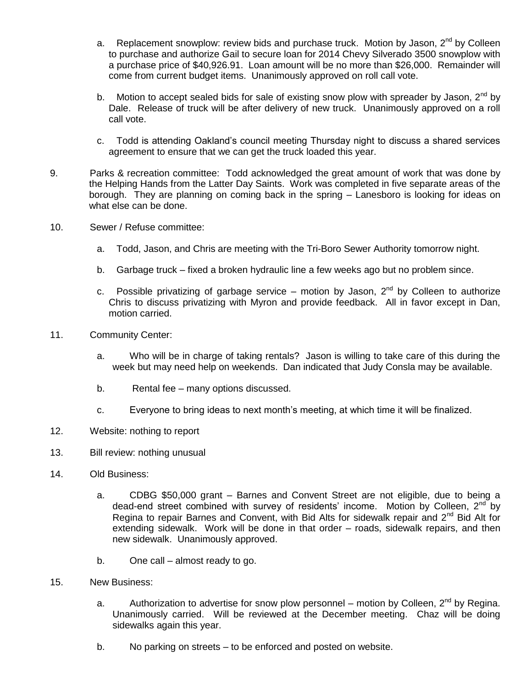- a. Replacement snowplow: review bids and purchase truck. Motion by Jason,  $2^{nd}$  by Colleen to purchase and authorize Gail to secure loan for 2014 Chevy Silverado 3500 snowplow with a purchase price of \$40,926.91. Loan amount will be no more than \$26,000. Remainder will come from current budget items. Unanimously approved on roll call vote.
- b. Motion to accept sealed bids for sale of existing snow plow with spreader by Jason,  $2^{nd}$  by Dale. Release of truck will be after delivery of new truck. Unanimously approved on a roll call vote.
- c. Todd is attending Oakland's council meeting Thursday night to discuss a shared services agreement to ensure that we can get the truck loaded this year.
- 9. Parks & recreation committee: Todd acknowledged the great amount of work that was done by the Helping Hands from the Latter Day Saints. Work was completed in five separate areas of the borough. They are planning on coming back in the spring – Lanesboro is looking for ideas on what else can be done.
- 10. Sewer / Refuse committee:
	- a. Todd, Jason, and Chris are meeting with the Tri-Boro Sewer Authority tomorrow night.
	- b. Garbage truck fixed a broken hydraulic line a few weeks ago but no problem since.
	- c. Possible privatizing of garbage service motion by Jason,  $2^{nd}$  by Colleen to authorize Chris to discuss privatizing with Myron and provide feedback. All in favor except in Dan, motion carried.
- 11. Community Center:
	- a. Who will be in charge of taking rentals? Jason is willing to take care of this during the week but may need help on weekends. Dan indicated that Judy Consla may be available.
	- b. Rental fee many options discussed.
	- c. Everyone to bring ideas to next month's meeting, at which time it will be finalized.
- 12. Website: nothing to report
- 13. Bill review: nothing unusual
- 14. Old Business:
	- a. CDBG \$50,000 grant Barnes and Convent Street are not eligible, due to being a dead-end street combined with survey of residents' income. Motion by Colleen,  $2<sup>nd</sup>$  by Regina to repair Barnes and Convent, with Bid Alts for sidewalk repair and  $2<sup>nd</sup>$  Bid Alt for extending sidewalk. Work will be done in that order – roads, sidewalk repairs, and then new sidewalk. Unanimously approved.
	- b. One call almost ready to go.
- 15. New Business:
	- a. Authorization to advertise for snow plow personnel motion by Colleen,  $2^{nd}$  by Regina. Unanimously carried. Will be reviewed at the December meeting. Chaz will be doing sidewalks again this year.
	- b. No parking on streets to be enforced and posted on website.